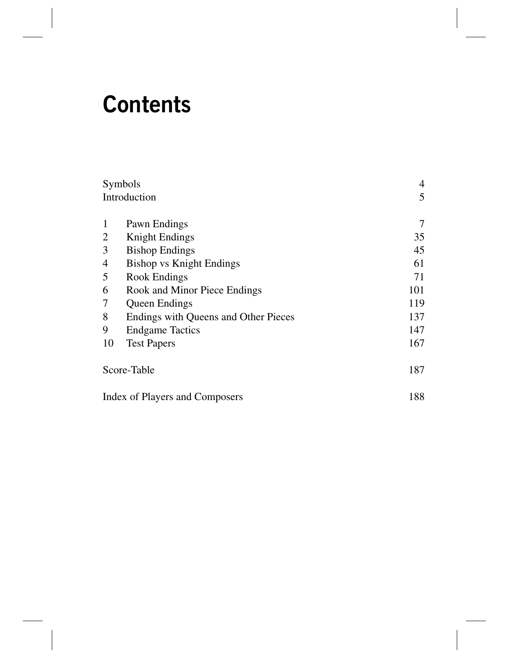## **Contents**

| Symbols                        |                                      | 4   |
|--------------------------------|--------------------------------------|-----|
| Introduction                   |                                      | 5   |
|                                |                                      |     |
| $\mathbf{1}$                   | Pawn Endings                         | 7   |
| 2                              | <b>Knight Endings</b>                | 35  |
| 3                              | <b>Bishop Endings</b>                | 45  |
| 4                              | <b>Bishop vs Knight Endings</b>      | 61  |
| 5                              | Rook Endings                         | 71  |
| 6                              | Rook and Minor Piece Endings         | 101 |
| 7                              | <b>Queen Endings</b>                 | 119 |
| 8                              | Endings with Queens and Other Pieces | 137 |
| 9                              | <b>Endgame Tactics</b>               | 147 |
| 10                             | <b>Test Papers</b>                   | 167 |
| Score-Table                    |                                      | 187 |
| Index of Players and Composers |                                      | 188 |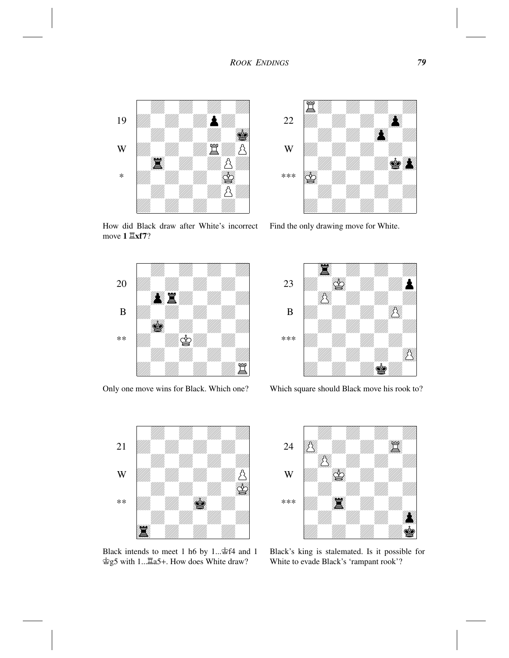

How did Black draw after White's incorrect move **1 Îxf7**?



Only one move wins for Black. Which one?



Find the only drawing move for White.



Which square should Black move his rook to?



Black intends to meet 1 h6 by 1...Êf4 and 1 Êg5 with 1...Îa5+. How does White draw?



Black's king is stalemated. Is it possible for White to evade Black's 'rampant rook'?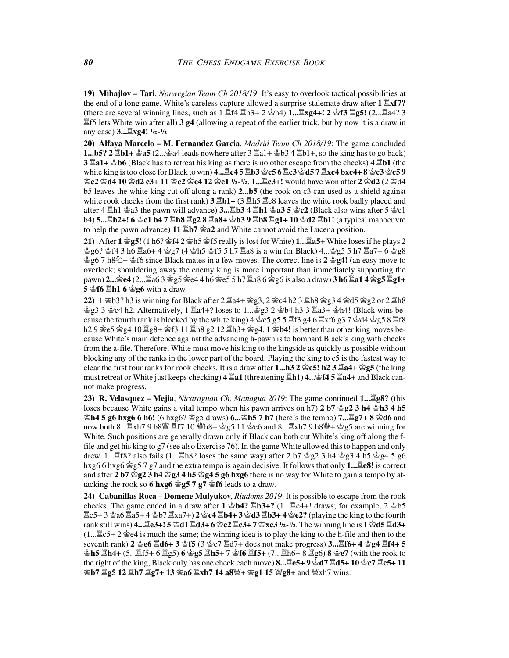**19) Mihajlov – Tari**, *Norwegian Team Ch 2018/19*: It's easy to overlook tactical possibilities at the end of a long game. White's careless capture allowed a surprise stalemate draw after **1 Îxf7?** (there are several winning lines, such as 1 Îf4 Îb3+ 2 Êh4) **1...Îxg4+! 2 Êf3 Îg5!** (2...Îa4? 3 Îf5 lets White win after all) **3 g4** (allowing a repeat of the earlier trick, but by now it is a draw in any case) **3...** $\mathbb{E}$ **xg4!**  $1/2 - 1/2$ .

**20) Alfaya Marcelo – M. Fernandez Garcia**, *Madrid Team Ch 2018/19*: The game concluded **1...b5? 2 Îb1+ Êa5** (2...Êa4 leads nowhere after 3 Îa1+ Êb3 4 Îb1+, so the king has to go back) **3 Îa1+ Êb6** (Black has to retreat his king as there is no other escape from the checks) **4 Îb1** (the white king is too close for Black to win) **4...Îc4 5 Îb3 Êc5 6 Îc3 Êd5 7 Îxc4 bxc4+ 8 Êc3 Êc5 9 Êc2 Êd4 10 Êd2 c3+ 11 Êc2 Êc4 12 Êc1 Ó-Ó**. **1...Îc3+!** would have won after **2 Êd2** (2 Êd4 b5 leaves the white king cut off along a rank) **2...b5** (the rook on c3 can used as a shield against white rook checks from the first rank) **3 Îb1+** (3 Îh5 Îc8 leaves the white rook badly placed and after 4 Îh1 Êa3 the pawn will advance) **3...Îb3 4 Îh1 Êa3 5 Êc2** (Black also wins after 5 Êc1 b4) **5...Îb2+! 6 Êc1 b4 7 Îh8 Îg2 8 Îa8+ Êb3 9 Îb8 Îg1+ 10 Êd2 Îb1!** (a typical manoeuvre to help the pawn advance) **11 Îb7 Êa2** and White cannot avoid the Lucena position.

**21)** After **1 Êg5!** (1 h6? Êf4 2 Êh5 Êf5 really is lost for White) **1...Îa5+** White loses if he plays 2 **空g6? 空f4 3 h6**  $\Xi$ **a6+ 4 空g7 (4 空h5 空f5 5 h7**  $\Xi$ **a8 is a win for Black) 4...空g5 5 h7**  $\Xi$ **a7+ 6 空g8** Êg6 7 h8Ì+ Êf6 since Black mates in a few moves. The correct line is **2 Êg4!** (an easy move to overlook; shouldering away the enemy king is more important than immediately supporting the pawn) **2...Êe4** (2...Îa6 3 Êg5 Êe4 4 h6 Êe5 5 h7 Îa8 6 Êg6 is also a draw) **3 h6 Îa1 4 Êg5 Îg1+ 5 \seta \seta \seta \seta** 6 \\seta \seta \seta \seta \seta \seta \seta \seta \seta \seta \seta \seta \seta \seta \seta \seta \seta \seta \seta \seta \seta \seta \seta \seta \seta \seta \seta \seta \seta \seta \seta \s

**22)** 1 Êb3? h3 is winning for Black after 2 Îa4+ Êg3, 2 Êc4 h2 3 Îh8 Êg3 4 Êd5 Êg2 or 2 Îh8 **空g3 3 空c4 h2. Alternatively, 1**  $\Xi$ **a4+? loses to 1...空g3 2 空b4 h3 3**  $\Xi$ **a3+ 空h4! (Black wins be**cause the fourth rank is blocked by the white king)  $4 \text{°c}5 g5 5 \text{°f}3 g4 6 \text{°g}37 \text{°g}d4 \text{°g}g5 8 \text{°f}8$ h2 9 Êe5 Êg4 10 Îg8+ Êf3 11 Îh8 g2 12 Îh3+ Êg4. **1 Êb4!** is better than other king moves because White's main defence against the advancing h-pawn is to bombard Black's king with checks from the a-file. Therefore, White must move his king to the kingside as quickly as possible without blocking any of the ranks in the lower part of the board. Playing the king to c5 is the fastest way to clear the first four ranks for rook checks. It is a draw after **1...h3 2 Êc5! h2 3 Îa4+ Êg5** (the king must retreat or White just keeps checking) **4 Îa1** (threatening Îh1) **4...Êf4 5 Îa4+** and Black cannot make progress.

**23) R. Velasquez – Mejia**, *Nicaraguan Ch, Managua 2019*: The game continued **1...Îg8?** (this loses because White gains a vital tempo when his pawn arrives on h7) **2 b7**  $\mathscr{L}_2$  **3 h4**  $\mathscr{L}_1$ **h3 4 h5 Êh4 5 g6 hxg6 6 h6!** (6 hxg6? Êg5 draws) **6...Êh5 7 h7** (here's the tempo) **7...Îg7+ 8 Êd6** and now both 8...  $\mathbb{Z}$ xh7 9 b8 $\mathbb{Y}$   $\mathbb{Z}$ f7 10  $\mathbb{Y}$ h8+  $\mathbb{Z}$ g5 11  $\mathbb{Z}$ e6 and 8...  $\mathbb{Z}$ xb7 9 h8 $\mathbb{Y}$ +  $\mathbb{Z}$ g5 are winning for White. Such positions are generally drawn only if Black can both cut White's king off along the ffile and get his king to g7 (see also Exercise 76). In the game White allowed this to happen and only drew. 1... $\mathbb{E}[8?$  also fails  $(1...\mathbb{E}h8?$  loses the same way) after 2 b7  $\hat{\otimes}$ g2 3 h4  $\hat{\otimes}$ g3 4 h5  $\hat{\otimes}$ g4 5 g6 hxg6 6 hxg6 Êg5 7 g7 and the extra tempo is again decisive. It follows that only **1...Îe8!** is correct and after 2 b7  $\angle$ g2 3 h4  $\angle$ g3 4 h5  $\angle$ g4 5 g6 hxg6 there is no way for White to gain a tempo by attacking the rook so **6 hxg6**  $\hat{\otimes}$ **g5 7 g7**  $\hat{\otimes}$ **f6** leads to a draw.

**24) Cabanillas Roca – Domene Mulyukov**, *Riudoms 2019*: It is possible to escape from the rook checks. The game ended in a draw after **1 Êb4? Îb3+?** (1...Îc4+! draws; for example, 2 Êb5 Îc5+ 3 Êa6 Îa5+ 4 Êb7 Îxa7+) **2 Êc4 Îb4+ 3 Êd3 Îb3+ 4 Êe2?** (playing the king to the fourth rank still wins) **4...Îe3+! 5 Êd1 Îd3+ 6 Êc2 Îc3+ 7 Êxc3 Ó-Ó**. The winning line is **1 Êd5 Îd3+**  $(1...\&5+2$   $\&e4$  is much the same; the winning idea is to play the king to the h-file and then to the seventh rank) **2 Êe6 Îd6+ 3 Êf5** (3 Êe7 Îd7+ does not make progress) **3...Îf6+ 4 Êg4 Îf4+ 5 Êh5 Îh4+** (5...Îf5+ 6 Îg5) **6 Êg5 Îh5+ 7 Êf6 Îf5+** (7...Îh6+ 8 Îg6) **8 Êe7** (with the rook to the right of the king, Black only has one check each move) **8...Îe5+ 9 Êd7 Îd5+ 10 Êc7 Îc5+ 11 Êb7 Îg5 12 Îh7 Îg7+ 13 Êa6 Îxh7 14 a8Ë+ Êg1 15 Ëg8+** and Ëxh7 wins.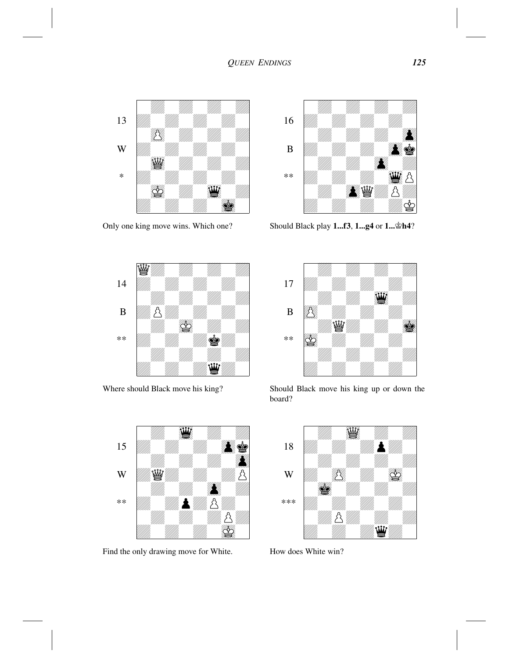## *QUEEN ENDINGS 125*



Only one king move wins. Which one?



Where should Black move his king?



Find the only drawing move for White.



Should Black play **1...f3**, **1...g4** or **1...Êh4**?



Should Black move his king up or down the board?



How does White win?